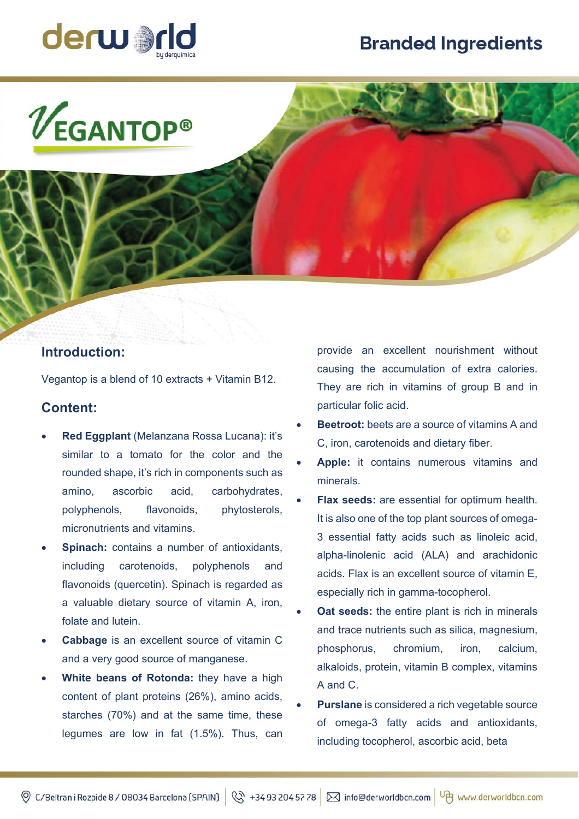# **Branded Ingredients**



 $V_{\textsf{EGANTOP}^{\circ}}$ 

### **Introduction:**

Vegantop is a blend of 10 extracts + Vitamin B12.

### **Content:**

- **Red Eggplant** (Melanzana Rossa Lucana): it's similar to a tomato for the color and the rounded shape, it's rich in components such as amino, ascorbic acid, carbohydrates, polyphenols, flavonoids, phytosterols, micronutrients and vitamins.
- **Spinach:** contains a number of antioxidants, including carotenoids, polyphenols and flavonoids (quercetin). Spinach is regarded as a valuable dietary source of vitamin A, iron, folate and lutein.
- **Cabbage** is an excellent source of vitamin C and a very good source of manganese.
- **White beans of Rotonda:** they have a high content of plant proteins (26%), amino acids, starches (70%) and at the same time, these legumes are low in fat (1.5%). Thus, can

provide an excellent nourishment without causing the accumulation of extra calories. They are rich in vitamins of group B and in particular folic acid.

- **Beetroot:** beets are a source of vitamins A and C, iron, carotenoids and dietary fiber.
- **Apple:** it contains numerous vitamins and minerals.
- **Flax seeds:** are essential for optimum health. It is also one of the top plant sources of omega-3 essential fatty acids such as linoleic acid, alpha-linolenic acid (ALA) and arachidonic acids. Flax is an excellent source of vitamin E, especially rich in gamma-tocopherol.
- **Oat seeds:** the entire plant is rich in minerals and trace nutrients such as silica, magnesium, phosphorus, chromium, iron, calcium, alkaloids, protein, vitamin B complex, vitamins A and C.
- **Purslane** is considered a rich vegetable source of omega-3 fatty acids and antioxidants, including tocopherol, ascorbic acid, beta